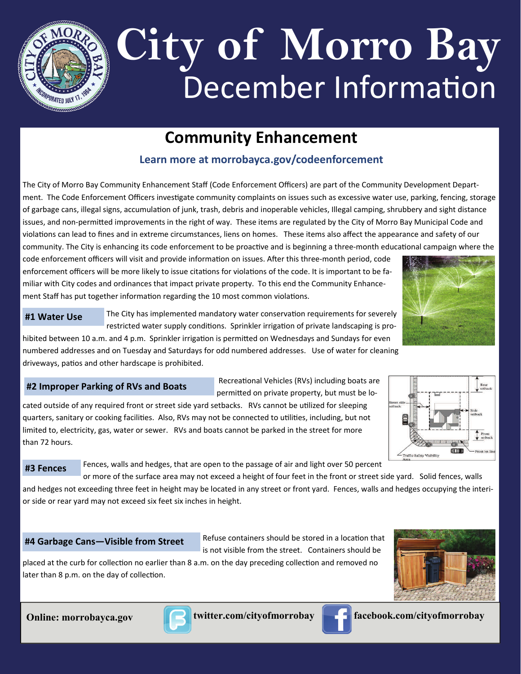

# December Information **City of Morro Bay**

## **Community Enhancement**

### **Learn more at morrobayca.gov/codeenforcement**

The City of Morro Bay Community Enhancement Staff (Code Enforcement Officers) are part of the Community Development Depart‐ ment. The Code Enforcement Officers investigate community complaints on issues such as excessive water use, parking, fencing, storage of garbage cans, illegal signs, accumulation of junk, trash, debris and inoperable vehicles, Illegal camping, shrubbery and sight distance issues, and non-permitted improvements in the right of way. These items are regulated by the City of Morro Bay Municipal Code and violations can lead to fines and in extreme circumstances, liens on homes. These items also affect the appearance and safety of our community. The City is enhancing its code enforcement to be proactive and is beginning a three-month educational campaign where the

code enforcement officers will visit and provide information on issues. After this three-month period, code enforcement officers will be more likely to issue citations for violations of the code. It is important to be familiar with City codes and ordinances that impact private property. To this end the Community Enhance‐ ment Staff has put together information regarding the 10 most common violations.



**#1 Water Use**

The City has implemented mandatory water conservation requirements for severely restricted water supply conditions. Sprinkler irrigation of private landscaping is pro-

hibited between 10 a.m. and 4 p.m. Sprinkler irrigation is permitted on Wednesdays and Sundays for even numbered addresses and on Tuesday and Saturdays for odd numbered addresses. Use of water for cleaning driveways, patios and other hardscape is prohibited.

#### **#2 Improper Parking of RVs and Boats**

Recreational Vehicles (RVs) including boats are permitted on private property, but must be lo-

cated outside of any required front or street side yard setbacks. RVs cannot be utilized for sleeping quarters, sanitary or cooking facilities. Also, RVs may not be connected to utilities, including, but not limited to, electricity, gas, water or sewer. RVs and boats cannot be parked in the street for more than 72 hours.



**#3 Fences**

Fences, walls and hedges, that are open to the passage of air and light over 50 percent

or more of the surface area may not exceed a height of four feet in the front or street side yard. Solid fences, walls and hedges not exceeding three feet in height may be located in any street or front yard. Fences, walls and hedges occupying the interior side or rear yard may not exceed six feet six inches in height.

#### **#4 Garbage Cans—Visible from Street**

Refuse containers should be stored in a location that is not visible from the street. Containers should be

placed at the curb for collection no earlier than 8 a.m. on the day preceding collection and removed no later than 8 p.m. on the day of collection.







**Online: morrobayca.gov Computer.com/cityofmorrobay computer facebook.com/cityofmorrobay**